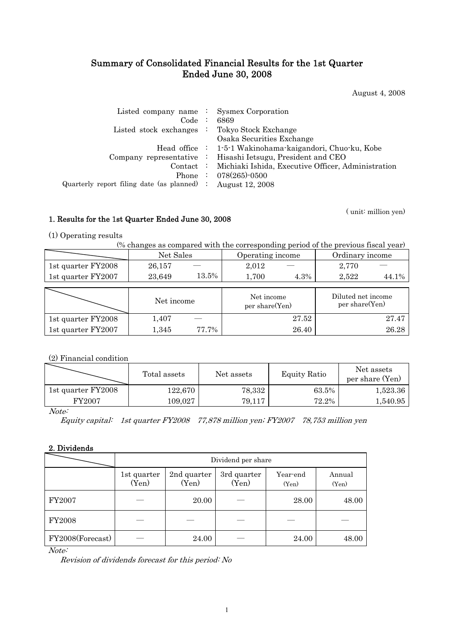# Summary of Consolidated Financial Results for the 1st Quarter Ended June 30, 2008

August 4, 2008

| Listed company name $\therefore$ Sysmex Corporation           |                                                              |
|---------------------------------------------------------------|--------------------------------------------------------------|
|                                                               | Code : 6869                                                  |
| Listed stock exchanges : Tokyo Stock Exchange                 |                                                              |
|                                                               | Osaka Securities Exchange                                    |
|                                                               | Head office : 1-5-1 Wakinohama-kaigandori, Chuo-ku, Kobe     |
|                                                               | Company representative : Hisashi Ietsugu, President and CEO  |
|                                                               | Contact : Michiaki Ishida, Executive Officer, Administration |
|                                                               | Phone : $078(265)$ -0500                                     |
| Quarterly report filing date (as planned) : August $12, 2008$ |                                                              |
|                                                               |                                                              |

( unit: million yen)

# 1. Results for the 1st Quarter Ended June 30, 2008

(1) Operating results

(% changes as compared with the corresponding period of the previous fiscal year)

|                    | Net Sales  |       | Operating income             |       | Ordinary income                      |       |  |
|--------------------|------------|-------|------------------------------|-------|--------------------------------------|-------|--|
| 1st quarter FY2008 | 26,157     |       | 2,012                        |       | 2,770                                |       |  |
| 1st quarter FY2007 | 23,649     | 13.5% | 1,700                        | 4.3%  | 2,522                                | 44.1% |  |
|                    |            |       |                              |       |                                      |       |  |
|                    | Net income |       | Net income<br>per share(Yen) |       | Diluted net income<br>per share(Yen) |       |  |
| 1st quarter FY2008 | 1,407      |       |                              | 27.52 |                                      | 27.47 |  |
| 1st quarter FY2007 | 1,345      | 77.7% |                              | 26.40 |                                      | 26.28 |  |

# (2) Financial condition

|                    | Total assets | Net assets | <b>Equity Ratio</b> | Net assets<br>per share (Yen) |
|--------------------|--------------|------------|---------------------|-------------------------------|
| 1st quarter FY2008 | 122,670      | 78,332     | 63.5%               | 1,523.36                      |
| FY2007             | 109.027      | 79.117     | $72.2\%$            | 1,540.95                      |

Note:

Equity capital: 1st quarter FY2008 77,878 million yen; FY2007 78,753 million yen

# 2. Dividends

|                  | Dividend per share   |                      |                      |                   |                 |  |  |  |  |
|------------------|----------------------|----------------------|----------------------|-------------------|-----------------|--|--|--|--|
|                  | 1st quarter<br>(Yen) | 2nd quarter<br>(Yen) | 3rd quarter<br>(Yen) | Year-end<br>(Yen) | Annual<br>(Yen) |  |  |  |  |
| FY2007           |                      | 20.00                |                      | 28.00             | 48.00           |  |  |  |  |
| <b>FY2008</b>    |                      |                      |                      |                   |                 |  |  |  |  |
| FY2008(Forecast) |                      | 24.00                |                      | 24.00             | 48.00           |  |  |  |  |

Note:

Revision of dividends forecast for this period: No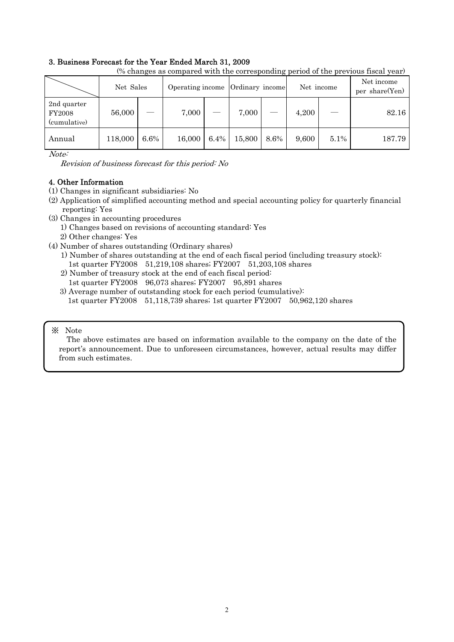## 3. Business Forecast for the Year Ended March 31, 2009

| (% changes as compared with the corresponding period of the previous fiscal year) |         |                                                                |        |      |        |      |       |                              |        |  |
|-----------------------------------------------------------------------------------|---------|----------------------------------------------------------------|--------|------|--------|------|-------|------------------------------|--------|--|
|                                                                                   |         | Net Sales<br>Operating income<br>Ordinary income<br>Net income |        |      |        |      |       | Net income<br>per share(Yen) |        |  |
| 2nd quarter<br><b>FY2008</b><br>(cumulative)                                      | 56,000  |                                                                | 7,000  |      | 7,000  |      | 4,200 |                              | 82.16  |  |
| Annual                                                                            | 118,000 | 6.6%                                                           | 16,000 | 6.4% | 15,800 | 8.6% | 9,600 | $5.1\%$                      | 187.79 |  |

Note:

Revision of business forecast for this period: No

# 4. Other Information

- (1) Changes in significant subsidiaries: No
- (2) Application of simplified accounting method and special accounting policy for quarterly financial reporting: Yes
- (3) Changes in accounting procedures
	- 1) Changes based on revisions of accounting standard: Yes
	- 2) Other changes: Yes
- (4) Number of shares outstanding (Ordinary shares)
	- 1) Number of shares outstanding at the end of each fiscal period (including treasury stock): 1st quarter FY2008 51,219,108 shares; FY2007 51,203,108 shares
	- 2) Number of treasury stock at the end of each fiscal period: 1st quarter FY2008 96,073 shares; FY2007 95,891 shares
	- 3) Average number of outstanding stock for each period (cumulative): 1st quarter FY2008 51,118,739 shares; 1st quarter FY2007 50,962,120 shares

## ※ Note

The above estimates are based on information available to the company on the date of the report's announcement. Due to unforeseen circumstances, however, actual results may differ from such estimates.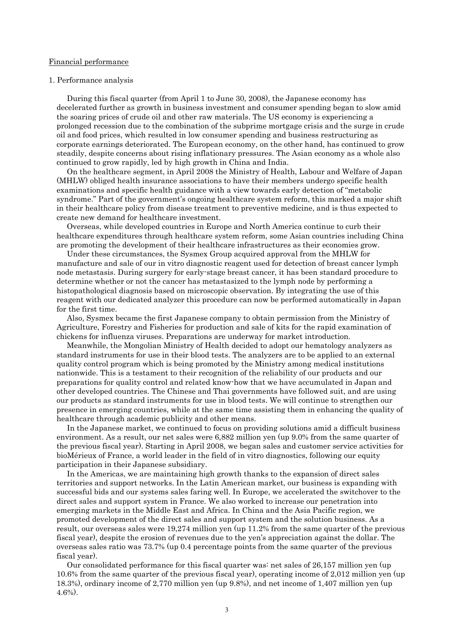#### Financial performance

#### 1. Performance analysis

During this fiscal quarter (from April 1 to June 30, 2008), the Japanese economy has decelerated further as growth in business investment and consumer spending began to slow amid the soaring prices of crude oil and other raw materials. The US economy is experiencing a prolonged recession due to the combination of the subprime mortgage crisis and the surge in crude oil and food prices, which resulted in low consumer spending and business restructuring as corporate earnings deteriorated. The European economy, on the other hand, has continued to grow steadily, despite concerns about rising inflationary pressures. The Asian economy as a whole also continued to grow rapidly, led by high growth in China and India.

On the healthcare segment, in April 2008 the Ministry of Health, Labour and Welfare of Japan (MHLW) obliged health insurance associations to have their members undergo specific health examinations and specific health guidance with a view towards early detection of "metabolic syndrome." Part of the government's ongoing healthcare system reform, this marked a major shift in their healthcare policy from disease treatment to preventive medicine, and is thus expected to create new demand for healthcare investment.

Overseas, while developed countries in Europe and North America continue to curb their healthcare expenditures through healthcare system reform, some Asian countries including China are promoting the development of their healthcare infrastructures as their economies grow.

Under these circumstances, the Sysmex Group acquired approval from the MHLW for manufacture and sale of our in vitro diagnostic reagent used for detection of breast cancer lymph node metastasis. During surgery for early-stage breast cancer, it has been standard procedure to determine whether or not the cancer has metastasized to the lymph node by performing a histopathological diagnosis based on microscopic observation. By integrating the use of this reagent with our dedicated analyzer this procedure can now be performed automatically in Japan for the first time.

Also, Sysmex became the first Japanese company to obtain permission from the Ministry of Agriculture, Forestry and Fisheries for production and sale of kits for the rapid examination of chickens for influenza viruses. Preparations are underway for market introduction.

Meanwhile, the Mongolian Ministry of Health decided to adopt our hematology analyzers as standard instruments for use in their blood tests. The analyzers are to be applied to an external quality control program which is being promoted by the Ministry among medical institutions nationwide. This is a testament to their recognition of the reliability of our products and our preparations for quality control and related know-how that we have accumulated in Japan and other developed countries. The Chinese and Thai governments have followed suit, and are using our products as standard instruments for use in blood tests. We will continue to strengthen our presence in emerging countries, while at the same time assisting them in enhancing the quality of healthcare through academic publicity and other means.

In the Japanese market, we continued to focus on providing solutions amid a difficult business environment. As a result, our net sales were 6,882 million yen (up 9.0% from the same quarter of the previous fiscal year). Starting in April 2008, we began sales and customer service activities for bioMérieux of France, a world leader in the field of in vitro diagnostics, following our equity participation in their Japanese subsidiary.

In the Americas, we are maintaining high growth thanks to the expansion of direct sales territories and support networks. In the Latin American market, our business is expanding with successful bids and our systems sales faring well. In Europe, we accelerated the switchover to the direct sales and support system in France. We also worked to increase our penetration into emerging markets in the Middle East and Africa. In China and the Asia Pacific region, we promoted development of the direct sales and support system and the solution business. As a result, our overseas sales were 19,274 million yen (up 11.2% from the same quarter of the previous fiscal year), despite the erosion of revenues due to the yen's appreciation against the dollar. The overseas sales ratio was 73.7% (up 0.4 percentage points from the same quarter of the previous fiscal year).

Our consolidated performance for this fiscal quarter was: net sales of 26,157 million yen (up 10.6% from the same quarter of the previous fiscal year), operating income of 2,012 million yen (up 18.3%), ordinary income of 2,770 million yen (up 9.8%), and net income of 1,407 million yen (up 4.6%).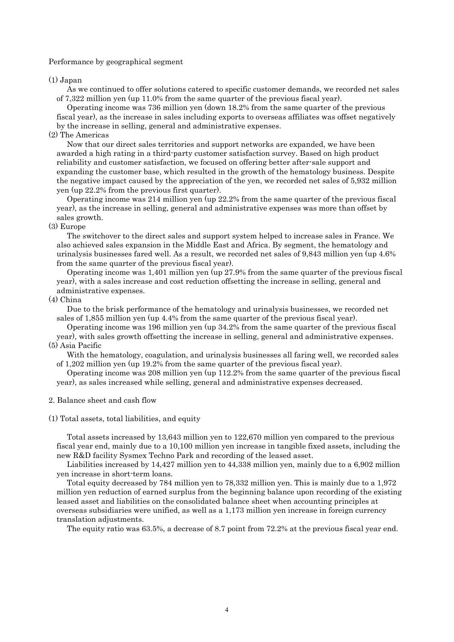#### Performance by geographical segment

#### (1) Japan

As we continued to offer solutions catered to specific customer demands, we recorded net sales of 7,322 million yen (up 11.0% from the same quarter of the previous fiscal year).

Operating income was 736 million yen (down 18.2% from the same quarter of the previous fiscal year), as the increase in sales including exports to overseas affiliates was offset negatively by the increase in selling, general and administrative expenses.

#### (2) The Americas

Now that our direct sales territories and support networks are expanded, we have been awarded a high rating in a third-party customer satisfaction survey. Based on high product reliability and customer satisfaction, we focused on offering better after-sale support and expanding the customer base, which resulted in the growth of the hematology business. Despite the negative impact caused by the appreciation of the yen, we recorded net sales of 5,932 million yen (up 22.2% from the previous first quarter).

Operating income was 214 million yen (up 22.2% from the same quarter of the previous fiscal year), as the increase in selling, general and administrative expenses was more than offset by sales growth.

#### (3) Europe

The switchover to the direct sales and support system helped to increase sales in France. We also achieved sales expansion in the Middle East and Africa. By segment, the hematology and urinalysis businesses fared well. As a result, we recorded net sales of 9,843 million yen (up 4.6% from the same quarter of the previous fiscal year).

Operating income was 1,401 million yen (up 27.9% from the same quarter of the previous fiscal year), with a sales increase and cost reduction offsetting the increase in selling, general and administrative expenses.

#### (4) China

Due to the brisk performance of the hematology and urinalysis businesses, we recorded net sales of 1,855 million yen (up 4.4% from the same quarter of the previous fiscal year).

Operating income was 196 million yen (up 34.2% from the same quarter of the previous fiscal year), with sales growth offsetting the increase in selling, general and administrative expenses. (5) Asia Pacific

With the hematology, coagulation, and urinalysis businesses all faring well, we recorded sales of 1,202 million yen (up 19.2% from the same quarter of the previous fiscal year).

Operating income was 208 million yen (up 112.2% from the same quarter of the previous fiscal year), as sales increased while selling, general and administrative expenses decreased.

### 2. Balance sheet and cash flow

#### (1) Total assets, total liabilities, and equity

Total assets increased by 13,643 million yen to 122,670 million yen compared to the previous fiscal year end, mainly due to a 10,100 million yen increase in tangible fixed assets, including the new R&D facility Sysmex Techno Park and recording of the leased asset.

Liabilities increased by 14,427 million yen to 44,338 million yen, mainly due to a 6,902 million yen increase in short-term loans.

Total equity decreased by 784 million yen to 78,332 million yen. This is mainly due to a 1,972 million yen reduction of earned surplus from the beginning balance upon recording of the existing leased asset and liabilities on the consolidated balance sheet when accounting principles at overseas subsidiaries were unified, as well as a 1,173 million yen increase in foreign currency translation adjustments.

The equity ratio was 63.5%, a decrease of 8.7 point from 72.2% at the previous fiscal year end.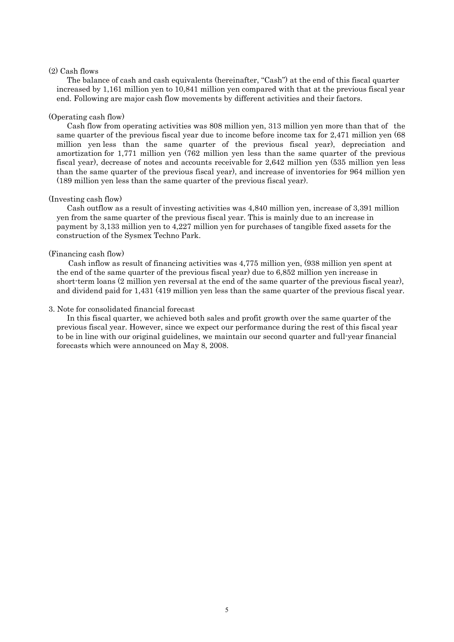### (2) Cash flows

The balance of cash and cash equivalents (hereinafter, "Cash") at the end of this fiscal quarter increased by 1,161 million yen to 10,841 million yen compared with that at the previous fiscal year end. Following are major cash flow movements by different activities and their factors.

#### (Operating cash flow)

Cash flow from operating activities was 808 million yen, 313 million yen more than that of the same quarter of the previous fiscal year due to income before income tax for 2,471 million yen (68 million yen less than the same quarter of the previous fiscal year), depreciation and amortization for 1,771 million yen (762 million yen less than the same quarter of the previous fiscal year), decrease of notes and accounts receivable for 2,642 million yen (535 million yen less than the same quarter of the previous fiscal year), and increase of inventories for 964 million yen (189 million yen less than the same quarter of the previous fiscal year).

#### (Investing cash flow)

Cash outflow as a result of investing activities was 4,840 million yen, increase of 3,391 million yen from the same quarter of the previous fiscal year. This is mainly due to an increase in payment by 3,133 million yen to 4,227 million yen for purchases of tangible fixed assets for the construction of the Sysmex Techno Park.

### (Financing cash flow)

Cash inflow as result of financing activities was 4,775 million yen, (938 million yen spent at the end of the same quarter of the previous fiscal year) due to 6,852 million yen increase in short-term loans (2 million yen reversal at the end of the same quarter of the previous fiscal year), and dividend paid for 1,431 (419 million yen less than the same quarter of the previous fiscal year.

### 3. Note for consolidated financial forecast

In this fiscal quarter, we achieved both sales and profit growth over the same quarter of the previous fiscal year. However, since we expect our performance during the rest of this fiscal year to be in line with our original guidelines, we maintain our second quarter and full-year financial forecasts which were announced on May 8, 2008.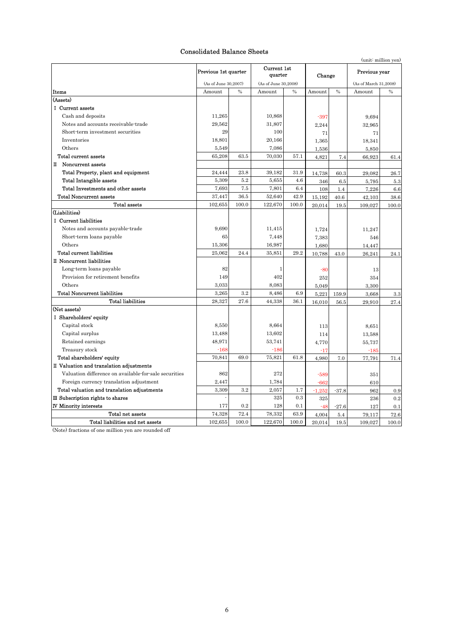## Consolidated Balance Sheets

|                                                       | Previous 1st quarter |               | Current 1st<br>quarter |               | Change   |               | Previous year         |               |  |
|-------------------------------------------------------|----------------------|---------------|------------------------|---------------|----------|---------------|-----------------------|---------------|--|
|                                                       | (As of June 30,2007) |               | (As of June 30,2008)   |               |          |               | (As of March 31.2008) |               |  |
| Items                                                 | Amount               | $\frac{0}{0}$ | Amount                 | $\frac{0}{0}$ | Amount   | $\frac{0}{6}$ | Amount                | $\frac{0}{0}$ |  |
| (Assets)                                              |                      |               |                        |               |          |               |                       |               |  |
| I Current assets                                      |                      |               |                        |               |          |               |                       |               |  |
| Cash and deposits                                     | 11,265               |               | 10,868                 |               | $-397$   |               | 9,694                 |               |  |
| Notes and accounts receivable-trade                   | 29,562               |               | 31,807                 |               | 2,244    |               | 32,965                |               |  |
| Short-term investment securities                      | 29                   |               | 100                    |               | 71       |               | 71                    |               |  |
| Inventories                                           | 18,801               |               | 20,166                 |               | 1,365    |               | 18,341                |               |  |
| Others                                                | 5,549                |               | 7,086                  |               | 1,536    |               | 5,850                 |               |  |
| Total current assets                                  | 65,208               | 63.5          | 70,030                 | 57.1          | 4,821    | 7.4           | 66,923                | 61.4          |  |
| П<br>Noncurrent assets                                |                      |               |                        |               |          |               |                       |               |  |
| Total Property, plant and equipment                   | 24,444               | 23.8          | 39,182                 | 31.9          | 14,738   | 60.3          | 29,082                | 26.7          |  |
| <b>Total Intangible assets</b>                        | 5,309                | 5.2           | 5,655                  | 4.6           | 346      | 6.5           | 5,795                 | 5.3           |  |
| Total Investments and other assets                    | 7,693                | 7.5           | 7,801                  | 6.4           | 108      | 1.4           | 7,226                 | 6.6           |  |
| <b>Total Noncurrent assets</b>                        | 37.447               | 36.5          | 52.640                 | 42.9          | 15,192   | 40.6          | 42,103                | 38.6          |  |
| <b>Total assets</b>                                   | 102,655              | 100.0         | 122,670                | 100.0         | 20,014   | 19.5          | 109,027               | 100.0         |  |
| (Liabilities)                                         |                      |               |                        |               |          |               |                       |               |  |
| I Current liabilities                                 |                      |               |                        |               |          |               |                       |               |  |
| Notes and accounts payable-trade                      | 9,690                |               | 11,415                 |               | 1,724    |               | 11,247                |               |  |
| Short-term loans payable                              | 65                   |               | 7,448                  |               | 7,383    |               | 546                   |               |  |
| Others                                                | 15,306               |               | 16,987                 |               | 1,680    |               | 14,447                |               |  |
| Total current liabilities                             | 25.062               | 24.4          | 35.851                 | 29.2          | 10,788   | 43.0          | 26,241                | 24.1          |  |
| II Noncurrent liabilities                             |                      |               |                        |               |          |               |                       |               |  |
| Long-term loans payable                               | 82                   |               | $\mathbf{1}$           |               | $-80$    |               | 13                    |               |  |
| Provision for retirement benefits                     | 149                  |               | 402                    |               | 252      |               | 354                   |               |  |
| Others                                                | 3,033                |               | 8,083                  |               | 5,049    |               | 3,300                 |               |  |
| <b>Total Noncurrent liabilities</b>                   | 3,265                | 3.2           | 8,486                  | 6.9           | 5,221    | 159.9         | 3,668                 | 3.3           |  |
| <b>Total liabilities</b>                              | 28,327               | 27.6          | 44,338                 | 36.1          | 16,010   | 56.5          | 29,910                | 27.4          |  |
| (Net assets)                                          |                      |               |                        |               |          |               |                       |               |  |
| I Shareholders' equity                                |                      |               |                        |               |          |               |                       |               |  |
| Capital stock                                         | 8,550                |               | 8,664                  |               | 113      |               | 8.651                 |               |  |
| Capital surplus                                       | 13,488               |               | 13,602                 |               | 114      |               | 13,588                |               |  |
| Retained earnings                                     | 48,971               |               | 53,741                 |               | 4,770    |               | 55,737                |               |  |
| Treasury stock                                        | $-168$               |               | $-186$                 |               | $-17$    |               | $-185$                |               |  |
| Total shareholders' equity                            | 70,841               | 69.0          | 75,821                 | 61.8          | 4,980    | 7.0           | 77,791                | 71.4          |  |
| II Valuation and translation adjustments              |                      |               |                        |               |          |               |                       |               |  |
| Valuation difference on available for sale securities | 862                  |               | 272                    |               | $-589$   |               | 351                   |               |  |
| Foreign currency translation adjustment               | 2,447                |               | 1,784                  |               | $-662$   |               | 610                   |               |  |
| Total valuation and translation adjustments           | 3,309                | 3.2           | 2,057                  | 1.7           | $-1,252$ | $-37.8$       | 962                   | 0.9           |  |
| III Subscription rights to shares                     |                      |               | 325                    | 0.3           | 325      |               | 236                   | 0.2           |  |
| <b>IV Minority interests</b>                          | 177                  | 0.2           | 128                    | 0.1           | $-48$    | $-27.6$       | 127                   | 0.1           |  |
| Total net assets                                      | 74,328               | 72.4          | 78,332                 | 63.9          | 4,004    | 5.4           | 79,117                | 72.6          |  |
| Total liabilities and net assets                      | 102,655              | 100.0         | 122,670                | 100.0         | 20,014   | 19.5          | 109,027               | 100.0         |  |

(Note) fractions of one million yen are rounded off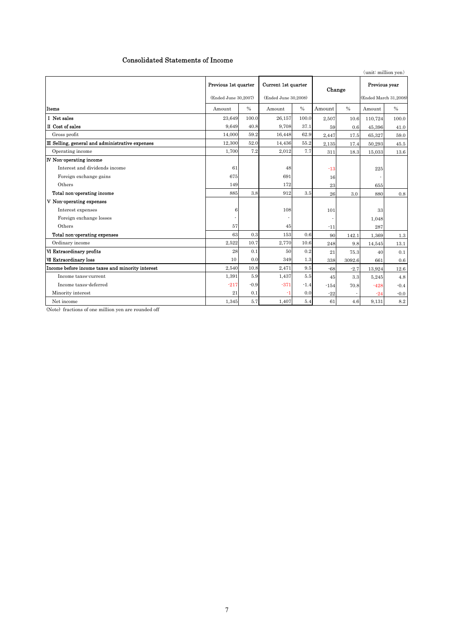## Consolidated Statements of Income

|                                                  |                      |        |                      |               |        |               | (unit: million yen)   |        |
|--------------------------------------------------|----------------------|--------|----------------------|---------------|--------|---------------|-----------------------|--------|
|                                                  | Previous 1st quarter |        | Current 1st quarter  |               |        | Change        | Previous year         |        |
|                                                  | (Ended June 30,2007) |        | (Ended June 30,2008) |               |        |               | (Ended March 31,2008) |        |
| Items                                            | Amount               | $\%$   | Amount               | $\frac{0}{0}$ | Amount | $\frac{0}{0}$ | Amount                | $\%$   |
| I Net sales                                      | 23,649               | 100.0  | 26,157               | 100.0         | 2.507  | 10.6          | 110,724               | 100.0  |
| II Cost of sales                                 | 9,649                | 40.8   | 9,708                | 37.1          | 59     | 0.6           | 45.396                | 41.0   |
| Gross profit                                     | 14.000               | 59.2   | 16,448               | 62.9          | 2,447  | 17.5          | 65,327                | 59.0   |
| III Selling, general and administrative expenses | 12,300               | 52.0   | 14,436               | 55.2          | 2.135  | 17.4          | 50.293                | 45.5   |
| Operating income                                 | 1,700                | 7.2    | 2,012                | 7.7           | 311    | 18.3          | 15,033                | 13.6   |
| <b>IV</b> Non-operating income                   |                      |        |                      |               |        |               |                       |        |
| Interest and dividends income                    | 61                   |        | 48                   |               | $-13$  |               | 225                   |        |
| Foreign exchange gains                           | 675                  |        | 691                  |               | 16     |               |                       |        |
| Others                                           | 149                  |        | 172                  |               | 23     |               | 655                   |        |
| Total non-operating income                       | 885                  | 3.8    | 912                  | 3.5           | 26     | 3.0           | 880                   | 0.8    |
| V Non-operating expenses                         |                      |        |                      |               |        |               |                       |        |
| Interest expenses                                | 6                    |        | 108                  |               | 101    |               | 33                    |        |
| Foreign exchange losses                          |                      |        |                      |               |        |               | 1,048                 |        |
| Others                                           | 57                   |        | 45                   |               | $-11$  |               | 287                   |        |
| Total non-operating expenses                     | 63                   | 0.3    | 153                  | 0.6           | 90     | 142.1         | 1,369                 | 1.3    |
| Ordinary income                                  | 2.522                | 10.7   | 2.770                | 10.6          | 248    | 9.8           | 14,545                | 13.1   |
| VI Extraordinary profits                         | 28                   | 0.1    | 50                   | 0.2           | 21     | 75.3          | 40                    | 0.1    |
| <b>VII Extraordinary loss</b>                    | 10                   | 0.0    | 349                  | 1.3           | 338    | 3092.6        | 661                   | 0.6    |
| Income before income taxes and minority interest | 2,540                | 10.8   | 2,471                | 9.5           | $-68$  | $-2.7$        | 13,924                | 12.6   |
| Income taxes-current                             | 1,391                | 5.9    | 1,437                | 5.5           | 45     | 3.3           | 5,245                 | 4.8    |
| Income taxes-deferred                            | $-217$               | $-0.9$ | $-371$               | $-1.4$        | $-154$ | 70.8          | $-428$                | $-0.4$ |
| Minority interest                                | 21                   | 0.1    | -1                   | 0.0           | $-22$  |               | $-24$                 | $-0.0$ |
| Net income                                       | 1,345                | 5.7    | 1,407                | 5.4           | 61     | 4.6           | 9,131                 | 8.2    |

(Note) fractions of one million yen are rounded off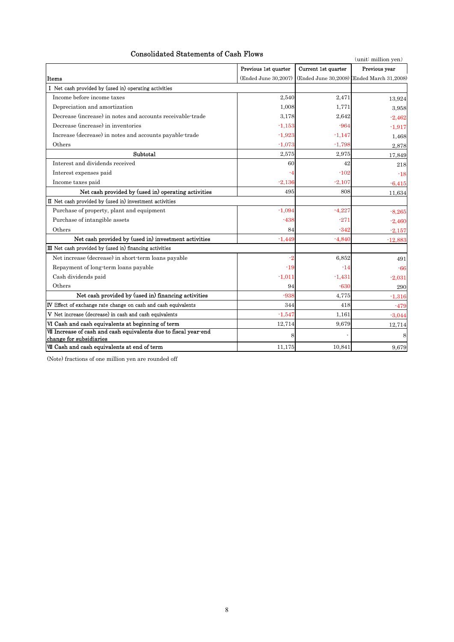# Consolidated Statements of Cash Flows

| Consolidated Statements of Cash Flows                                                       |                      |                     | (unit: million yen)                        |
|---------------------------------------------------------------------------------------------|----------------------|---------------------|--------------------------------------------|
|                                                                                             | Previous 1st quarter | Current 1st quarter | Previous year                              |
| Items                                                                                       | (Ended June 30,2007) |                     | (Ended June 30,2008) (Ended March 31,2008) |
| I Net cash provided by (used in) operating activities                                       |                      |                     |                                            |
| Income before income taxes                                                                  | 2.540                | 2,471               | 13,924                                     |
| Depreciation and amortization                                                               | 1,008                | 1,771               | 3,958                                      |
| Decrease (increase) in notes and accounts receivable-trade                                  | 3.178                | 2,642               | $-2,462$                                   |
| Decrease (increase) in inventories                                                          | $-1,153$             | $-964$              | $-1,917$                                   |
| Increase (decrease) in notes and accounts payable-trade                                     | $-1.923$             | $-1,147$            | 1,468                                      |
| Others                                                                                      | $-1.073$             | $-1,798$            | 2,878                                      |
| Subtotal                                                                                    | 2.575                | 2,975               | 17,849                                     |
| Interest and dividends received                                                             | 60                   | 42                  | 218                                        |
| Interest expenses paid                                                                      | -4                   | $-102$              | $-18$                                      |
| Income taxes paid                                                                           | $-2.136$             | $-2.107$            | $-6,415$                                   |
| Net cash provided by (used in) operating activities                                         | 495                  | 808                 | 11,634                                     |
| II Net cash provided by (used in) investment activities                                     |                      |                     |                                            |
| Purchase of property, plant and equipment                                                   | $-1.094$             | $-4,227$            | $-8,265$                                   |
| Purchase of intangible assets                                                               | $-438$               | $-271$              | $-2,460$                                   |
| Others                                                                                      | 84                   | $-342$              | $-2,157$                                   |
| Net cash provided by (used in) investment activities                                        | $-1.449$             | $-4.840$            | $-12,883$                                  |
| III Net cash provided by (used in) financing activities                                     |                      |                     |                                            |
| Net increase (decrease) in short-term loans payable                                         | -2                   | 6,852               | 491                                        |
| Repayment of long-term loans payable                                                        | $-19$                | -14                 | $-66$                                      |
| Cash dividends paid                                                                         | $-1,011$             | $-1,431$            | $-2,031$                                   |
| Others                                                                                      | 94                   | $-630$              | 290                                        |
| Net cash provided by (used in) financing activities                                         | $-938$               | 4,775               | $-1,316$                                   |
| IV Effect of exchange rate change on cash and cash equivalents                              | 344                  | 418                 | $-479$                                     |
| V Net increase (decrease) in cash and cash equivalents                                      | $-1.547$             | 1,161               | $-3,044$                                   |
| VI Cash and cash equivalents at beginning of term                                           | 12,714               | 9,679               | 12,714                                     |
| VII Increase of cash and cash equivalents due to fiscal year-end<br>change for subsidiaries |                      |                     | 8                                          |
| WIII Cash and cash equivalents at end of term                                               | 11.175               | 10.841              | 9.679                                      |

(Note) fractions of one million yen are rounded off